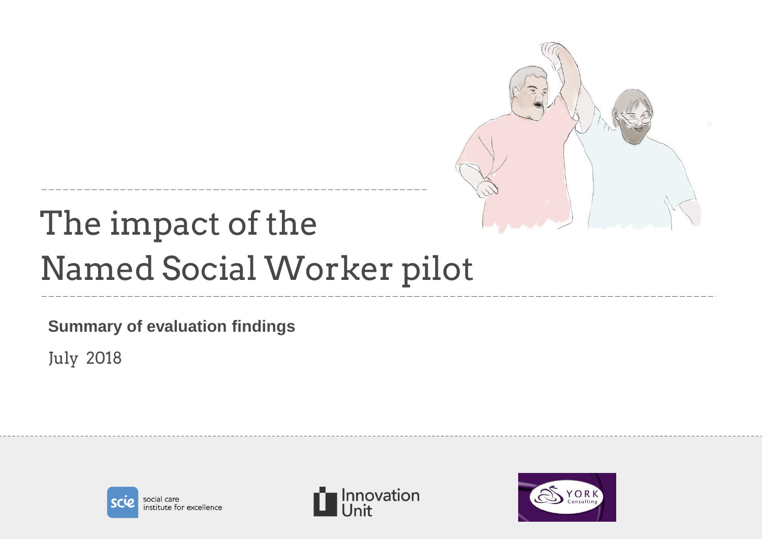

# The impact of the Named Social Worker pilot

**Summary of evaluation findings**

July 2018





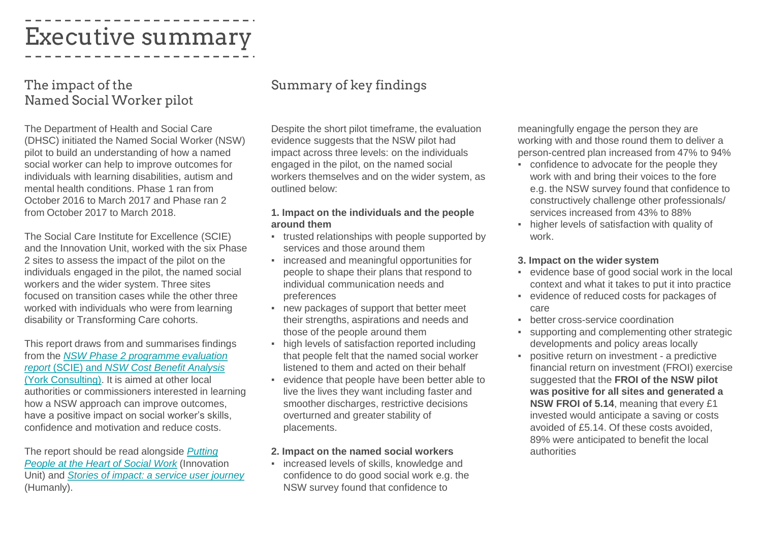### Executive summary

#### The impact of the Named Social Worker pilot

The Department of Health and Social Care (DHSC) initiated the Named Social Worker (NSW) pilot to build an understanding of how a named social worker can help to improve outcomes for individuals with learning disabilities, autism and mental health conditions. Phase 1 ran from October 2016 to March 2017 and Phase ran 2 from October 2017 to March 2018.

The Social Care Institute for Excellence (SCIE) and the Innovation Unit, worked with the six Phase 2 sites to assess the impact of the pilot on the individuals engaged in the pilot, the named social workers and the wider system. Three sites focused on transition cases while the other three worked with individuals who were from learning disability or Transforming Care cohorts.

This report draws from and summarises findings from the *NSW Phase 2 programme evaluation report* (SCIE) and *NSW Cost Benefit Analysis*  [\(York Consulting\). It is aimed at other local](https://www.scie.org.uk/social-work/named-social-worker)  authorities or commissioners interested in learning how a NSW approach can improve outcomes, have a positive impact on social worker's skills, confidence and motivation and reduce costs.

The report should be read alongside *Putting [People at the Heart of Social Work](http://innovationunit.tilt.codes/wp-content/uploads/Putting-people-back-at-the-heart-of-social-work-lessons-from-the-Named-Social-Worker-programme-1.pdf)* (Innovation Unit) and *[Stories of impact: a service user journey](http://innovationunit.tilt.codes/wp-content/uploads/Stories-of-impact-a-service-user-journey.pdf)* (Humanly).

#### Summary of key findings

Despite the short pilot timeframe, the evaluation evidence suggests that the NSW pilot had impact across three levels: on the individuals engaged in the pilot, on the named social workers themselves and on the wider system, as outlined below:

#### **1. Impact on the individuals and the people around them**

- trusted relationships with people supported by services and those around them
- increased and meaningful opportunities for people to shape their plans that respond to individual communication needs and preferences
- new packages of support that better meet their strengths, aspirations and needs and those of the people around them
- high levels of satisfaction reported including that people felt that the named social worker listened to them and acted on their behalf
- evidence that people have been better able to live the lives they want including faster and smoother discharges, restrictive decisions overturned and greater stability of placements.

#### **2. Impact on the named social workers**

▪ increased levels of skills, knowledge and confidence to do good social work e.g. the NSW survey found that confidence to

meaningfully engage the person they are working with and those round them to deliver a person-centred plan increased from 47% to 94%

- confidence to advocate for the people they work with and bring their voices to the fore e.g. the NSW survey found that confidence to constructively challenge other professionals/ services increased from 43% to 88%
- higher levels of satisfaction with quality of work.

#### **3. Impact on the wider system**

- evidence base of good social work in the local context and what it takes to put it into practice
- evidence of reduced costs for packages of care
- **•** better cross-service coordination
- supporting and complementing other strategic developments and policy areas locally
- positive return on investment a predictive financial return on investment (FROI) exercise suggested that the **FROI of the NSW pilot was positive for all sites and generated a NSW FROI of 5.14**, meaning that every £1 invested would anticipate a saving or costs avoided of £5.14. Of these costs avoided, 89% were anticipated to benefit the local authorities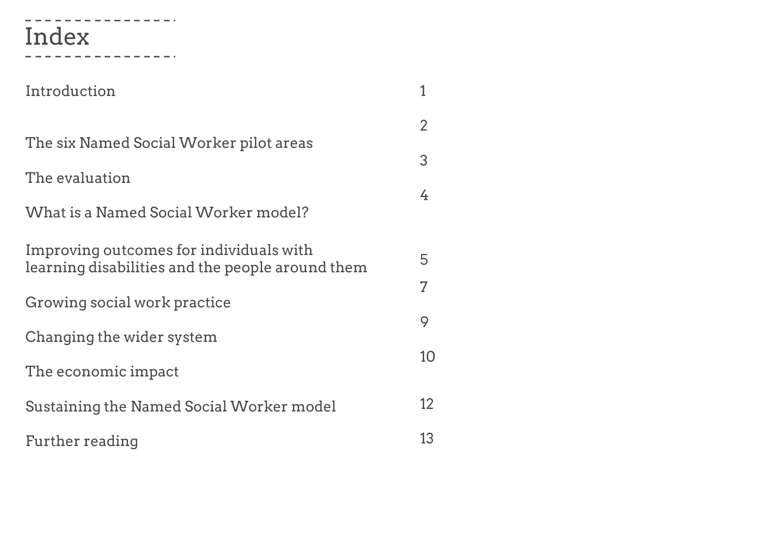#### ------------Index

--------------

| Introduction                                                                                |                |
|---------------------------------------------------------------------------------------------|----------------|
|                                                                                             | $\overline{2}$ |
| The six Named Social Worker pilot areas                                                     | 3              |
| The evaluation                                                                              | 4              |
| What is a Named Social Worker model?                                                        |                |
| Improving outcomes for individuals with<br>learning disabilities and the people around them | 5              |
| Growing social work practice                                                                | $\overline{7}$ |
| Changing the wider system                                                                   | 9              |
| The economic impact                                                                         | 10             |
| Sustaining the Named Social Worker model                                                    | 12             |
| Further reading                                                                             | 13             |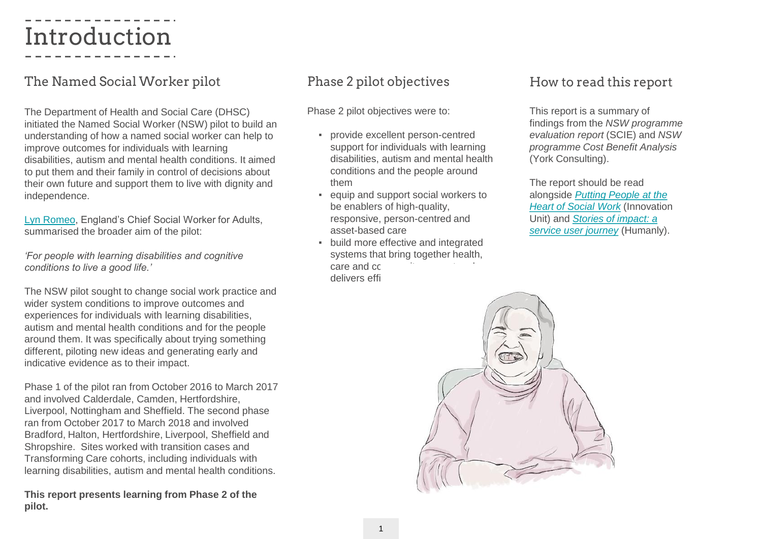### Introduction

#### The Named Social Worker pilot

The Department of Health and Social Care (DHSC) initiated the Named Social Worker (NSW) pilot to build an understanding of how a named social worker can help to improve outcomes for individuals with learning disabilities, autism and mental health conditions. It aimed to put them and their family in control of decisions about their own future and support them to live with dignity and independence.

[Lyn Romeo](https://lynromeo.blog.gov.uk/2017/10/19/named-social-worker-pilots-the-sequel/), England's Chief Social Worker for Adults, summarised the broader aim of the pilot:

*'For people with learning disabilities and cognitive conditions to live a good life.'*

The NSW pilot sought to change social work practice and wider system conditions to improve outcomes and experiences for individuals with learning disabilities, autism and mental health conditions and for the people around them. It was specifically about trying something different, piloting new ideas and generating early and indicative evidence as to their impact.

Phase 1 of the pilot ran from October 2016 to March 2017 and involved Calderdale, Camden, Hertfordshire, Liverpool, Nottingham and Sheffield. The second phase ran from October 2017 to March 2018 and involved Bradford, Halton, Hertfordshire, Liverpool, Sheffield and Shropshire. Sites worked with transition cases and Transforming Care cohorts, including individuals with learning disabilities, autism and mental health conditions.

**This report presents learning from Phase 2 of the pilot.**

#### Phase 2 pilot objectives

Phase 2 pilot objectives were to:

- provide excellent person-centred support for individuals with learning disabilities, autism and mental health conditions and the people around them
- equip and support social workers to be enablers of high-quality, responsive, person-centred and asset-based care
- build more effective and integrated systems that bring together health, care and cc. delivers effi

#### How to read this report

This report is a summary of findings from the *NSW programme evaluation report* (SCIE) and *NSW programme Cost Benefit Analysis*  (York Consulting).

The report should be read alongside *Putting People at the [Heart of Social Work](http://innovationunit.tilt.codes/wp-content/uploads/Putting-people-back-at-the-heart-of-social-work-lessons-from-the-Named-Social-Worker-programme-1.pdf)* (Innovation Unit) and *Stories of impact: a [service user journey](http://innovationunit.tilt.codes/wp-content/uploads/Stories-of-impact-a-service-user-journey.pdf)* (Humanly).

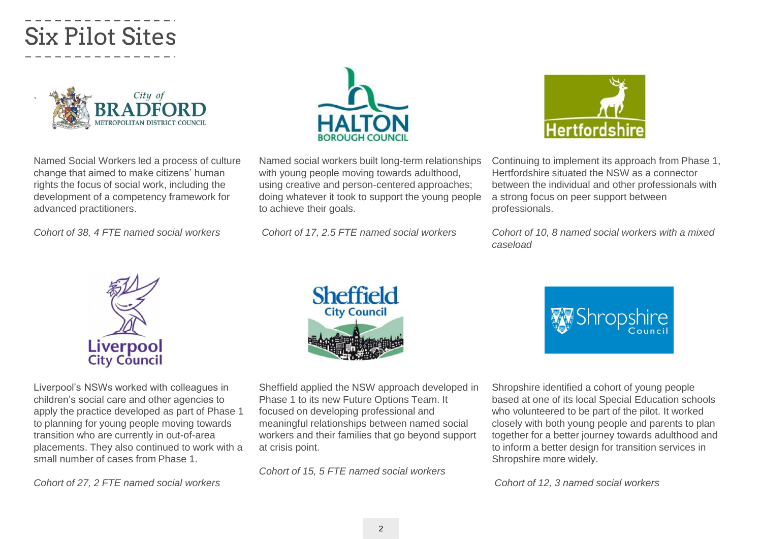### Six Pilot Sites



Named Social Workers led a process of culture change that aimed to make citizens' human rights the focus of social work, including the development of a competency framework for advanced practitioners.

*Cohort of 38, 4 FTE named social workers*



Liverpool's NSWs worked with colleagues in children's social care and other agencies to apply the practice developed as part of Phase 1 to planning for young people moving towards transition who are currently in out-of-area placements. They also continued to work with a small number of cases from Phase 1.

*Cohort of 27, 2 FTE named social workers*



Named social workers built long-term relationships with young people moving towards adulthood, using creative and person-centered approaches; doing whatever it took to support the young people to achieve their goals.

*Cohort of 17, 2.5 FTE named social workers*



Continuing to implement its approach from Phase 1, Hertfordshire situated the NSW as a connector between the individual and other professionals with a strong focus on peer support between professionals.

*Cohort of 10, 8 named social workers with a mixed caseload*



Sheffield applied the NSW approach developed in Phase 1 to its new Future Options Team. It focused on developing professional and meaningful relationships between named social workers and their families that go beyond support at crisis point.

*Cohort of 15, 5 FTE named social workers*



Shropshire identified a cohort of young people based at one of its local Special Education schools who volunteered to be part of the pilot. It worked closely with both young people and parents to plan together for a better journey towards adulthood and to inform a better design for transition services in Shropshire more widely.

*Cohort of 12, 3 named social workers*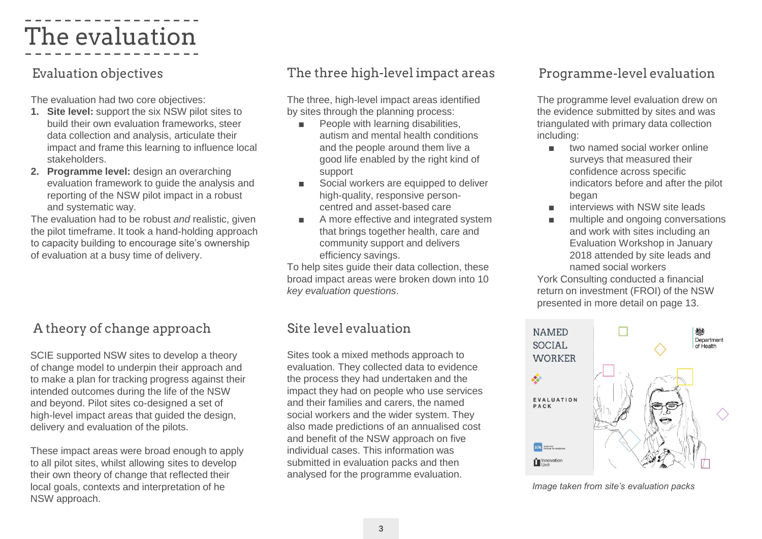### The evaluation

The evaluation had two core objectives:

- **1. Site level:** support the six NSW pilot sites to build their own evaluation frameworks, steer data collection and analysis, articulate their impact and frame this learning to influence local stakeholders.
- **2. Programme level:** design an overarching evaluation framework to guide the analysis and reporting of the NSW pilot impact in a robust and systematic way.

The evaluation had to be robust *and* realistic, given the pilot timeframe. It took a hand-holding approach to capacity building to encourage site's ownership of evaluation at a busy time of delivery.

#### A theory of change approach

SCIE supported NSW sites to develop a theory of change model to underpin their approach and to make a plan for tracking progress against their intended outcomes during the life of the NSW and beyond. Pilot sites co-designed a set of high-level impact areas that guided the design, delivery and evaluation of the pilots.

These impact areas were broad enough to apply to all pilot sites, whilst allowing sites to develop their own theory of change that reflected their local goals, contexts and interpretation of he NSW approach.

#### Evaluation objectives The three high-level impact areas

The three, high-level impact areas identified by sites through the planning process:

- People with learning disabilities, autism and mental health conditions and the people around them live a good life enabled by the right kind of support
- Social workers are equipped to deliver high-quality, responsive personcentred and asset-based care
- A more effective and integrated system that brings together health, care and community support and delivers efficiency savings.

To help sites guide their data collection, these broad impact areas were broken down into 10 *key evaluation questions*.

#### Site level evaluation

Sites took a mixed methods approach to evaluation. They collected data to evidence the process they had undertaken and the impact they had on people who use services and their families and carers, the named social workers and the wider system. They also made predictions of an annualised cost and benefit of the NSW approach on five individual cases. This information was submitted in evaluation packs and then analysed for the programme evaluation.

#### Programme-level evaluation

The programme level evaluation drew on the evidence submitted by sites and was triangulated with primary data collection including:

- two named social worker online surveys that measured their confidence across specific indicators before and after the pilot began
- interviews with NSW site leads
- multiple and ongoing conversations and work with sites including an Evaluation Workshop in January 2018 attended by site leads and named social workers

York Consulting conducted a financial return on investment (FROI) of the NSW presented in more detail on page 13.



*Image taken from site's evaluation packs*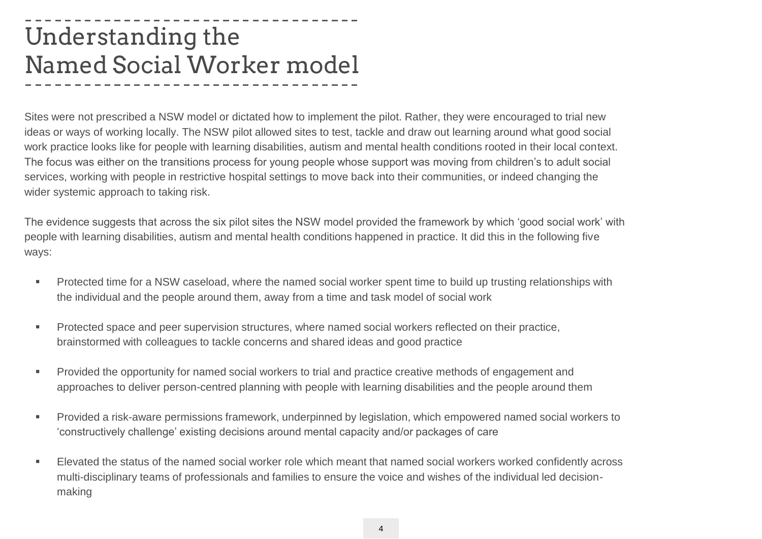### Understanding the Named Social Worker model

Sites were not prescribed a NSW model or dictated how to implement the pilot. Rather, they were encouraged to trial new ideas or ways of working locally. The NSW pilot allowed sites to test, tackle and draw out learning around what good social work practice looks like for people with learning disabilities, autism and mental health conditions rooted in their local context. The focus was either on the transitions process for young people whose support was moving from children's to adult social services, working with people in restrictive hospital settings to move back into their communities, or indeed changing the wider systemic approach to taking risk.

The evidence suggests that across the six pilot sites the NSW model provided the framework by which 'good social work' with people with learning disabilities, autism and mental health conditions happened in practice. It did this in the following five ways:

- **Protected time for a NSW caseload, where the named social worker spent time to build up trusting relationships with** the individual and the people around them, away from a time and task model of social work
- **Protected space and peer supervision structures, where named social workers reflected on their practice,** brainstormed with colleagues to tackle concerns and shared ideas and good practice
- **Provided the opportunity for named social workers to trial and practice creative methods of engagement and** approaches to deliver person-centred planning with people with learning disabilities and the people around them
- Provided a risk-aware permissions framework, underpinned by legislation, which empowered named social workers to 'constructively challenge' existing decisions around mental capacity and/or packages of care
- Elevated the status of the named social worker role which meant that named social workers worked confidently across multi-disciplinary teams of professionals and families to ensure the voice and wishes of the individual led decisionmaking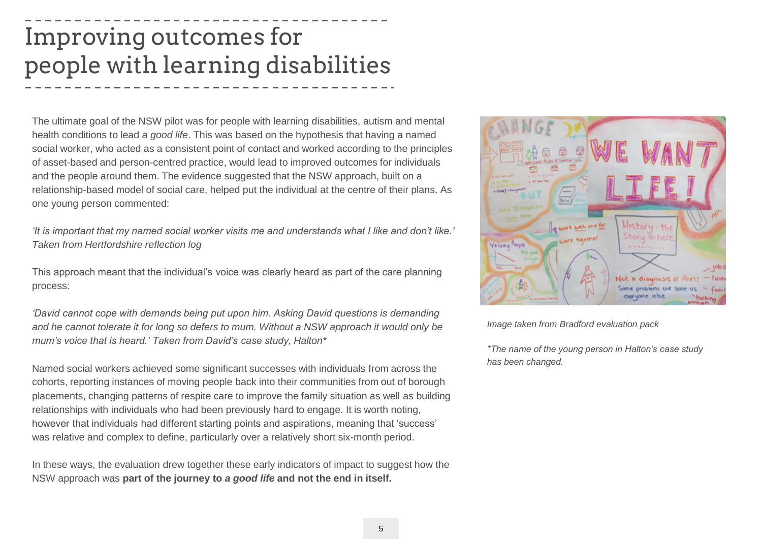### Improving outcomes for people with learning disabilities

The ultimate goal of the NSW pilot was for people with learning disabilities, autism and mental health conditions to lead *a good life*. This was based on the hypothesis that having a named social worker, who acted as a consistent point of contact and worked according to the principles of asset-based and person-centred practice, would lead to improved outcomes for individuals and the people around them. The evidence suggested that the NSW approach, built on a relationship-based model of social care, helped put the individual at the centre of their plans. As one young person commented:

*'It is important that my named social worker visits me and understands what I like and don't like.' Taken from Hertfordshire reflection log*

This approach meant that the individual's voice was clearly heard as part of the care planning process:

*'David cannot cope with demands being put upon him. Asking David questions is demanding and he cannot tolerate it for long so defers to mum. Without a NSW approach it would only be mum's voice that is heard.' Taken from David's case study, Halton\**

Named social workers achieved some significant successes with individuals from across the cohorts, reporting instances of moving people back into their communities from out of borough placements, changing patterns of respite care to improve the family situation as well as building relationships with individuals who had been previously hard to engage. It is worth noting, however that individuals had different starting points and aspirations, meaning that 'success' was relative and complex to define, particularly over a relatively short six-month period.

In these ways, the evaluation drew together these early indicators of impact to suggest how the NSW approach was **part of the journey to** *a good life* **and not the end in itself.**



*Image taken from Bradford evaluation pack*

*\*The name of the young person in Halton's case study has been changed.*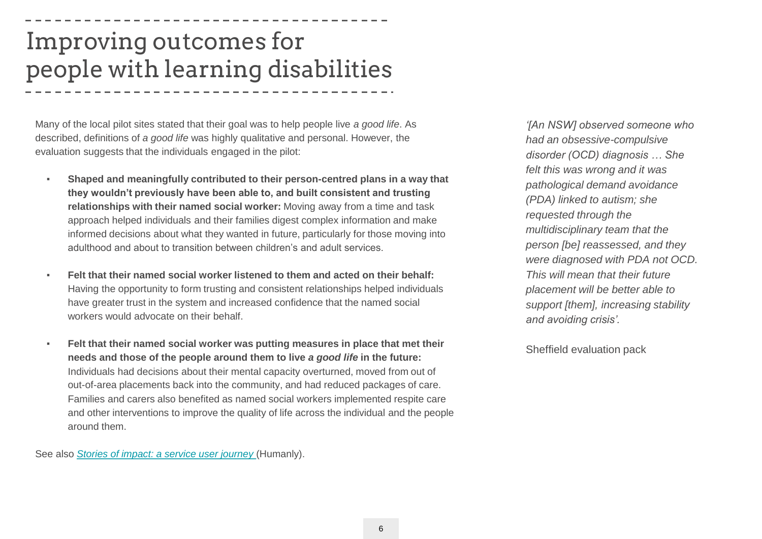### Improving outcomes for people with learning disabilities

Many of the local pilot sites stated that their goal was to help people live *a good life*. As described, definitions of *a good life* was highly qualitative and personal. However, the evaluation suggests that the individuals engaged in the pilot:

- **Shaped and meaningfully contributed to their person-centred plans in a way that they wouldn't previously have been able to, and built consistent and trusting relationships with their named social worker:** Moving away from a time and task approach helped individuals and their families digest complex information and make informed decisions about what they wanted in future, particularly for those moving into adulthood and about to transition between children's and adult services.
- **Felt that their named social worker listened to them and acted on their behalf:**  Having the opportunity to form trusting and consistent relationships helped individuals have greater trust in the system and increased confidence that the named social workers would advocate on their behalf.
- **Felt that their named social worker was putting measures in place that met their needs and those of the people around them to live** *a good life* **in the future:** Individuals had decisions about their mental capacity overturned, moved from out of out-of-area placements back into the community, and had reduced packages of care. Families and carers also benefited as named social workers implemented respite care and other interventions to improve the quality of life across the individual and the people around them.

See also *[Stories of impact: a service user journey](http://innovationunit.tilt.codes/wp-content/uploads/Stories-of-impact-a-service-user-journey.pdf)* (Humanly).

*'[An NSW] observed someone who had an obsessive-compulsive disorder (OCD) diagnosis … She felt this was wrong and it was pathological demand avoidance (PDA) linked to autism; she requested through the multidisciplinary team that the person [be] reassessed, and they were diagnosed with PDA not OCD. This will mean that their future placement will be better able to support [them], increasing stability and avoiding crisis'.*

Sheffield evaluation pack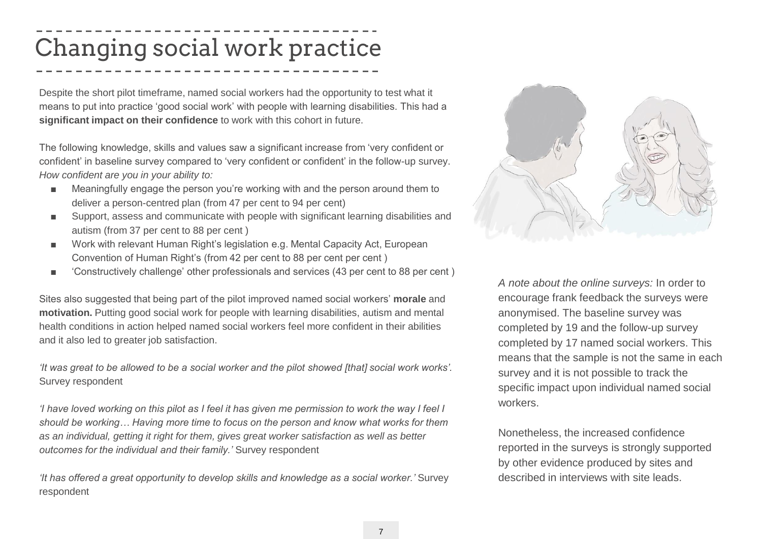### Changing social work practice

Despite the short pilot timeframe, named social workers had the opportunity to test what it means to put into practice 'good social work' with people with learning disabilities. This had a **significant impact on their confidence** to work with this cohort in future.

The following knowledge, skills and values saw a significant increase from 'very confident or confident' in baseline survey compared to 'very confident or confident' in the follow-up survey. *How confident are you in your ability to:*

- Meaningfully engage the person you're working with and the person around them to deliver a person-centred plan (from 47 per cent to 94 per cent)
- Support, assess and communicate with people with significant learning disabilities and autism (from 37 per cent to 88 per cent )
- Work with relevant Human Right's legislation e.g. Mental Capacity Act, European Convention of Human Right's (from 42 per cent to 88 per cent per cent )
- Constructively challenge' other professionals and services (43 per cent to 88 per cent)

Sites also suggested that being part of the pilot improved named social workers' **morale** and **motivation.** Putting good social work for people with learning disabilities, autism and mental health conditions in action helped named social workers feel more confident in their abilities and it also led to greater job satisfaction.

*'It was great to be allowed to be a social worker and the pilot showed [that] social work works'.*  Survey respondent

*'I have loved working on this pilot as I feel it has given me permission to work the way I feel I should be working… Having more time to focus on the person and know what works for them as an individual, getting it right for them, gives great worker satisfaction as well as better outcomes for the individual and their family.'* Survey respondent

*'It has offered a great opportunity to develop skills and knowledge as a social worker.'* Survey respondent



*A note about the online surveys:* In order to encourage frank feedback the surveys were anonymised. The baseline survey was completed by 19 and the follow-up survey completed by 17 named social workers. This means that the sample is not the same in each survey and it is not possible to track the specific impact upon individual named social workers.

Nonetheless, the increased confidence reported in the surveys is strongly supported by other evidence produced by sites and described in interviews with site leads.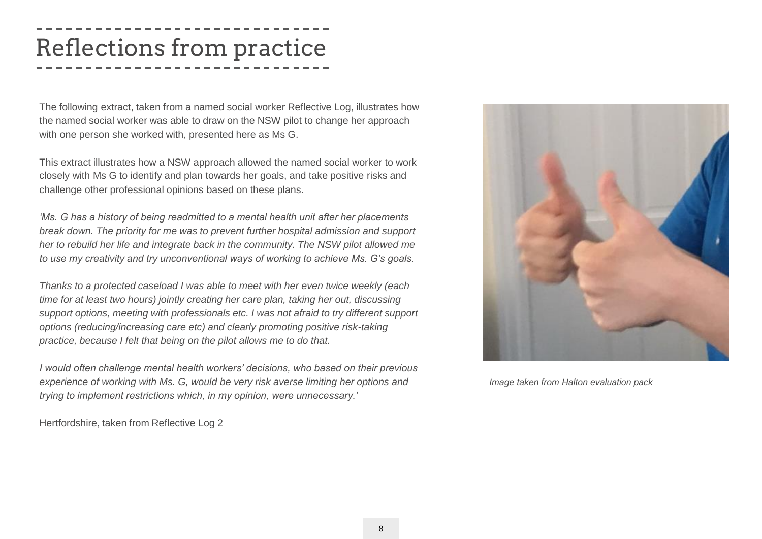### Reflections from practice

The following extract, taken from a named social worker Reflective Log, illustrates how the named social worker was able to draw on the NSW pilot to change her approach with one person she worked with, presented here as Ms G.

This extract illustrates how a NSW approach allowed the named social worker to work closely with Ms G to identify and plan towards her goals, and take positive risks and challenge other professional opinions based on these plans.

*'Ms. G has a history of being readmitted to a mental health unit after her placements break down. The priority for me was to prevent further hospital admission and support her to rebuild her life and integrate back in the community. The NSW pilot allowed me to use my creativity and try unconventional ways of working to achieve Ms. G's goals.* 

*Thanks to a protected caseload I was able to meet with her even twice weekly (each time for at least two hours) jointly creating her care plan, taking her out, discussing support options, meeting with professionals etc. I was not afraid to try different support options (reducing/increasing care etc) and clearly promoting positive risk-taking practice, because I felt that being on the pilot allows me to do that.*

*I would often challenge mental health workers' decisions, who based on their previous experience of working with Ms. G, would be very risk averse limiting her options and trying to implement restrictions which, in my opinion, were unnecessary.'*

Hertfordshire, taken from Reflective Log 2



*Image taken from Halton evaluation pack*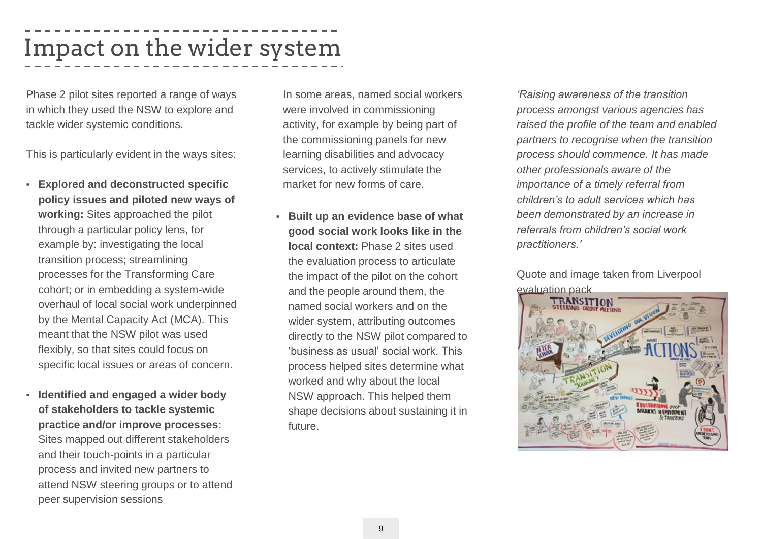### Impact on the wider system

Phase 2 pilot sites reported a range of ways in which they used the NSW to explore and tackle wider systemic conditions.

This is particularly evident in the ways sites:

- **Explored and deconstructed specific policy issues and piloted new ways of working:** Sites approached the pilot through a particular policy lens, for example by: investigating the local transition process; streamlining processes for the Transforming Care cohort; or in embedding a system-wide overhaul of local social work underpinned by the Mental Capacity Act (MCA). This meant that the NSW pilot was used flexibly, so that sites could focus on specific local issues or areas of concern.
- **Identified and engaged a wider body of stakeholders to tackle systemic practice and/or improve processes:**  Sites mapped out different stakeholders and their touch-points in a particular process and invited new partners to attend NSW steering groups or to attend peer supervision sessions

In some areas, named social workers were involved in commissioning activity, for example by being part of the commissioning panels for new learning disabilities and advocacy services, to actively stimulate the market for new forms of care.

**Built up an evidence base of what good social work looks like in the local context:** Phase 2 sites used the evaluation process to articulate the impact of the pilot on the cohort and the people around them, the named social workers and on the wider system, attributing outcomes directly to the NSW pilot compared to 'business as usual' social work. This process helped sites determine what worked and why about the local NSW approach. This helped them shape decisions about sustaining it in future.

*'Raising awareness of the transition process amongst various agencies has raised the profile of the team and enabled partners to recognise when the transition process should commence. It has made other professionals aware of the importance of a timely referral from children's to adult services which has been demonstrated by an increase in referrals from children's social work practitioners.'* 

Quote and image taken from Liverpool evaluation pack

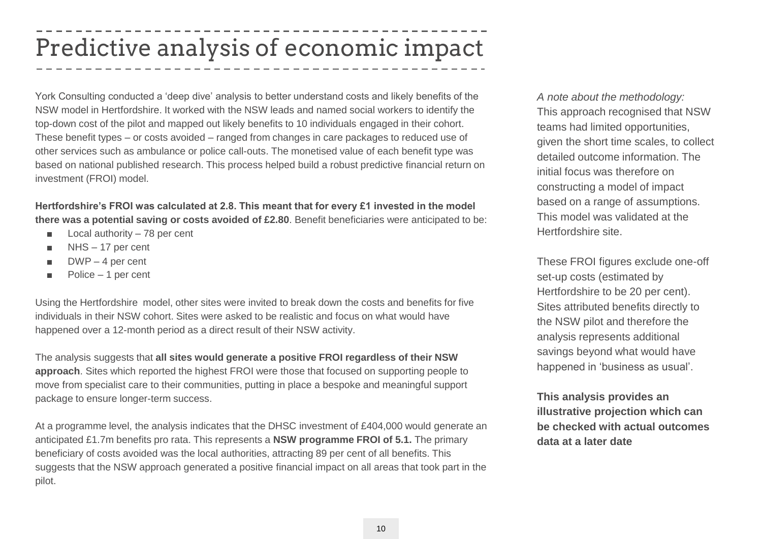### Predictive analysis of economic impact

York Consulting conducted a 'deep dive' analysis to better understand costs and likely benefits of the NSW model in Hertfordshire. It worked with the NSW leads and named social workers to identify the top-down cost of the pilot and mapped out likely benefits to 10 individuals engaged in their cohort. These benefit types – or costs avoided – ranged from changes in care packages to reduced use of other services such as ambulance or police call-outs. The monetised value of each benefit type was based on national published research. This process helped build a robust predictive financial return on investment (FROI) model.

**Hertfordshire's FROI was calculated at 2.8. This meant that for every £1 invested in the model there was a potential saving or costs avoided of £2.80**. Benefit beneficiaries were anticipated to be:

- Local authority 78 per cent
- $NHS 17$  per cent
- $\blacksquare$  DWP 4 per cent
- Police 1 per cent

Using the Hertfordshire model, other sites were invited to break down the costs and benefits for five individuals in their NSW cohort. Sites were asked to be realistic and focus on what would have happened over a 12-month period as a direct result of their NSW activity.

The analysis suggests that **all sites would generate a positive FROI regardless of their NSW approach**. Sites which reported the highest FROI were those that focused on supporting people to move from specialist care to their communities, putting in place a bespoke and meaningful support package to ensure longer-term success.

At a programme level, the analysis indicates that the DHSC investment of £404,000 would generate an anticipated £1.7m benefits pro rata. This represents a **NSW programme FROI of 5.1.** The primary beneficiary of costs avoided was the local authorities, attracting 89 per cent of all benefits. This suggests that the NSW approach generated a positive financial impact on all areas that took part in the pilot.

*A note about the methodology:*  This approach recognised that NSW teams had limited opportunities, given the short time scales, to collect detailed outcome information. The initial focus was therefore on constructing a model of impact based on a range of assumptions. This model was validated at the Hertfordshire site.

These FROI figures exclude one-off set-up costs (estimated by Hertfordshire to be 20 per cent). Sites attributed benefits directly to the NSW pilot and therefore the analysis represents additional savings beyond what would have happened in 'business as usual'.

**This analysis provides an illustrative projection which can be checked with actual outcomes data at a later date**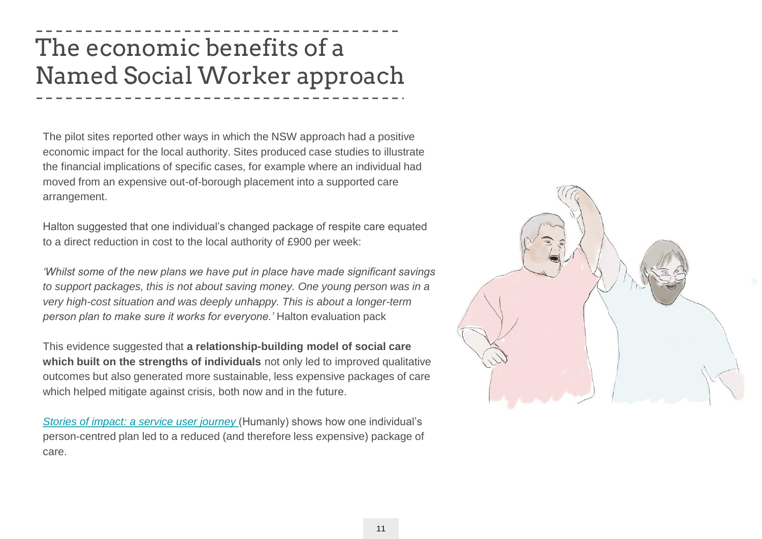### The economic benefits of a Named Social Worker approach

The pilot sites reported other ways in which the NSW approach had a positive economic impact for the local authority. Sites produced case studies to illustrate the financial implications of specific cases, for example where an individual had moved from an expensive out-of-borough placement into a supported care arrangement.

Halton suggested that one individual's changed package of respite care equated to a direct reduction in cost to the local authority of £900 per week:

*'Whilst some of the new plans we have put in place have made significant savings to support packages, this is not about saving money. One young person was in a very high-cost situation and was deeply unhappy. This is about a longer-term person plan to make sure it works for everyone.'* Halton evaluation pack

This evidence suggested that **a relationship-building model of social care which built on the strengths of individuals** not only led to improved qualitative outcomes but also generated more sustainable, less expensive packages of care which helped mitigate against crisis, both now and in the future.

*Stories of impact: a service user journey* (Humanly) shows how one individual's person-centred plan led to a reduced (and therefore less expensive) package of care.

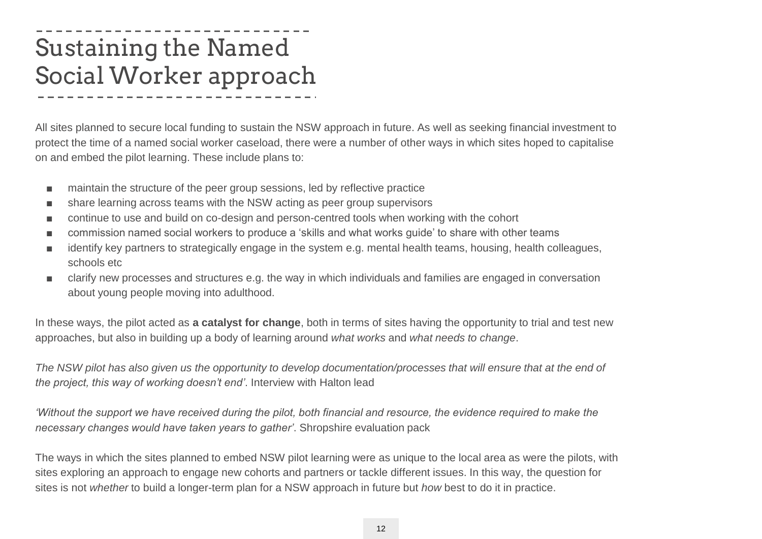### Sustaining the Named Social Worker approach

All sites planned to secure local funding to sustain the NSW approach in future. As well as seeking financial investment to protect the time of a named social worker caseload, there were a number of other ways in which sites hoped to capitalise on and embed the pilot learning. These include plans to:

- maintain the structure of the peer group sessions, led by reflective practice
- share learning across teams with the NSW acting as peer group supervisors
- continue to use and build on co-design and person-centred tools when working with the cohort
- commission named social workers to produce a 'skills and what works guide' to share with other teams
- identify key partners to strategically engage in the system e.g. mental health teams, housing, health colleagues, schools etc
- clarify new processes and structures e.g. the way in which individuals and families are engaged in conversation about young people moving into adulthood.

In these ways, the pilot acted as **a catalyst for change**, both in terms of sites having the opportunity to trial and test new approaches, but also in building up a body of learning around *what works* and *what needs to change*.

*The NSW pilot has also given us the opportunity to develop documentation/processes that will ensure that at the end of the project, this way of working doesn't end'*. Interview with Halton lead

*'Without the support we have received during the pilot, both financial and resource, the evidence required to make the necessary changes would have taken years to gather'*. Shropshire evaluation pack

The ways in which the sites planned to embed NSW pilot learning were as unique to the local area as were the pilots, with sites exploring an approach to engage new cohorts and partners or tackle different issues. In this way, the question for sites is not *whether* to build a longer-term plan for a NSW approach in future but *how* best to do it in practice.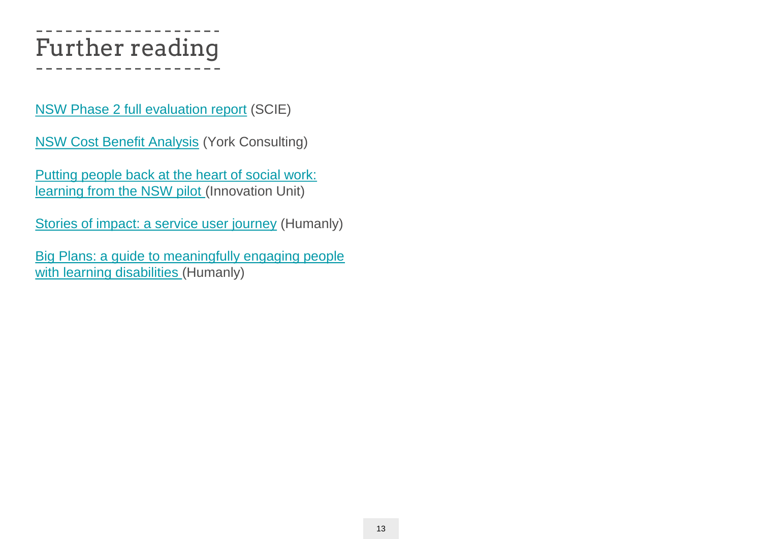## Further reading

[NSW Phase 2 full evaluation report](https://www.scie.org.uk/social-work/named-social-worker) (SCIE)

[NSW Cost Benefit Analysis](https://www.scie.org.uk/social-work/named-social-worker) (York Consulting)

Putting people back at the heart of social work: [learning from the NSW pilot \(Innovation Unit\)](http://innovationunit.tilt.codes/wp-content/uploads/Putting-people-back-at-the-heart-of-social-work-lessons-from-the-Named-Social-Worker-programme-1.pdf)

[Stories of impact: a service user journey](http://innovationunit.tilt.codes/wp-content/uploads/Stories-of-impact-a-service-user-journey.pdf) (Humanly)

[Big Plans: a guide to meaningfully engaging people](http://innovationunit.tilt.codes/wp-content/uploads/Big-plans-a-guide-to-meaningfully-engaging-people-with-learning-disabilities-1.pdf)  with learning disabilities (Humanly)